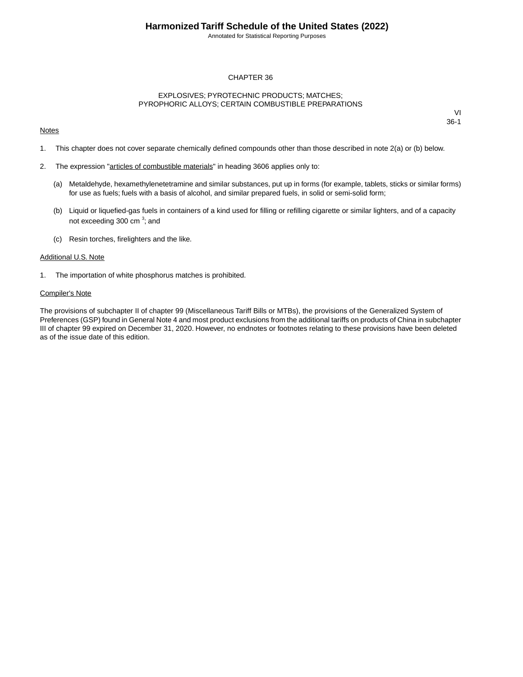Annotated for Statistical Reporting Purposes

### CHAPTER 36

#### EXPLOSIVES; PYROTECHNIC PRODUCTS; MATCHES; PYROPHORIC ALLOYS; CERTAIN COMBUSTIBLE PREPARATIONS

#### **Notes**

VI 36-1

- 1. This chapter does not cover separate chemically defined compounds other than those described in note 2(a) or (b) below.
- 2. The expression "articles of combustible materials" in heading 3606 applies only to:
	- (a) Metaldehyde, hexamethylenetetramine and similar substances, put up in forms (for example, tablets, sticks or similar forms) for use as fuels; fuels with a basis of alcohol, and similar prepared fuels, in solid or semi-solid form;
	- (b) Liquid or liquefied-gas fuels in containers of a kind used for filling or refilling cigarette or similar lighters, and of a capacity not exceeding 300 cm<sup>3</sup>; and
	- (c) Resin torches, firelighters and the like.

#### Additional U.S. Note

1. The importation of white phosphorus matches is prohibited.

#### Compiler's Note

The provisions of subchapter II of chapter 99 (Miscellaneous Tariff Bills or MTBs), the provisions of the Generalized System of Preferences (GSP) found in General Note 4 and most product exclusions from the additional tariffs on products of China in subchapter III of chapter 99 expired on December 31, 2020. However, no endnotes or footnotes relating to these provisions have been deleted as of the issue date of this edition.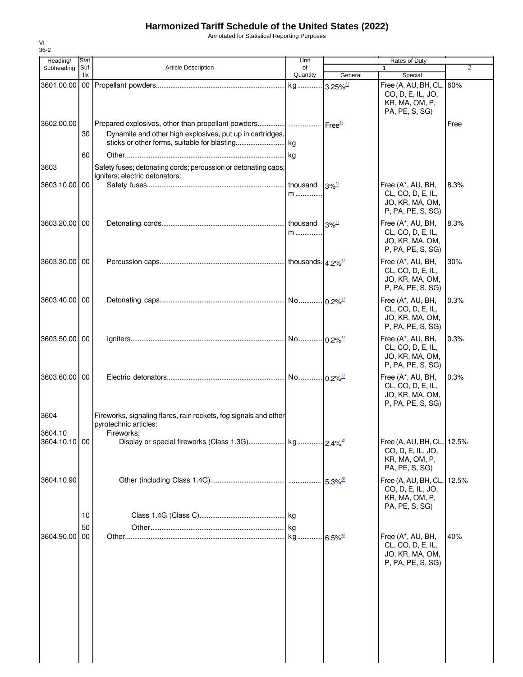Annotated for Statistical Reporting Purposes

| Heading/        | Stat.       |                                                                                                                                       | Unit           |                     | Rates of Duty                                                                       |                |
|-----------------|-------------|---------------------------------------------------------------------------------------------------------------------------------------|----------------|---------------------|-------------------------------------------------------------------------------------|----------------|
| Subheading      | Suf-<br>fix | Article Description                                                                                                                   | of<br>Quantity | General             | 1<br>Special                                                                        | $\overline{2}$ |
|                 |             |                                                                                                                                       |                |                     | Free (A, AU, BH, CL, 60%                                                            |                |
|                 |             |                                                                                                                                       |                |                     | CO, D, E, IL, JO,<br>KR, MA, OM, P,<br>PA, PE, S, SG)                               |                |
| 3602.00.00      | 30          | Prepared explosives, other than propellant powders    Free <sup>1/</sup><br>Dynamite and other high explosives, put up in cartridges, |                |                     |                                                                                     | Free           |
|                 | 60          |                                                                                                                                       |                |                     |                                                                                     |                |
| 3603            |             | Safety fuses; detonating cords; percussion or detonating caps;<br>igniters; electric detonators:                                      |                |                     |                                                                                     |                |
| 3603.10.00 00   |             |                                                                                                                                       | thousand<br>m  | $3\%$ <sup>1/</sup> | Free (A*, AU, BH,<br>CL, CO, D, E, IL,<br>JO, KR, MA, OM,<br>P, PA, PE, S, SG)      | 8.3%           |
| 3603.20.00 00   |             |                                                                                                                                       | m              | $3\%$ <sup>1/</sup> | Free (A*, AU, BH,<br>CL, CO, D, E, IL,<br>JO, KR, MA, OM,<br>P, PA, PE, S, SG)      | 8.3%           |
| 3603.30.00 00   |             |                                                                                                                                       |                |                     | Free (A*, AU, BH,<br>CL, CO, D, E, IL,<br>JO, KR, MA, OM,<br>P, PA, PE, S, SG)      | 30%            |
| 3603.40.00 00   |             |                                                                                                                                       |                |                     | Free (A*, AU, BH,<br>CL, CO, D, E, IL,<br>JO, KR, MA, OM,<br>P, PA, PE, S, SG)      | 0.3%           |
| 3603.50.00   00 |             |                                                                                                                                       |                |                     | Free (A*, AU, BH,<br>CL, CO, D, E, IL,<br>JO, KR, MA, OM,<br>P, PA, PE, S, SG)      | 0.3%           |
| 3603.60.00 00   |             |                                                                                                                                       |                |                     | Free (A*, AU, BH,<br>CL, CO, D, E, IL,<br>JO, KR, MA, OM,<br>P, PA, PE, S, SG)      | 0.3%           |
| 3604<br>3604.10 |             | Fireworks, signaling flares, rain rockets, fog signals and other<br>pyrotechnic articles:<br>Fireworks:                               |                |                     |                                                                                     |                |
| 3604.10.10 00   |             |                                                                                                                                       |                |                     | Free (A, AU, BH, CL, 12.5%<br>CO, D, E, IL, JO,<br>KR, MA, OM, P,<br>PA, PE, S, SG) |                |
| 3604.10.90      |             |                                                                                                                                       |                |                     | Free (A, AU, BH, CL,<br>CO, D, E, IL, JO,<br>KR, MA, OM, P,<br>PA, PE, S, SG)       | 12.5%          |
| 3604.90.00 00   | 10<br>50    |                                                                                                                                       | kg             |                     | Free (A*, AU, BH,<br>CL, CO, D, E, IL,                                              | 40%            |
|                 |             |                                                                                                                                       |                |                     | JO, KR, MA, OM,<br>P, PA, PE, S, SG)                                                |                |

VI 36-2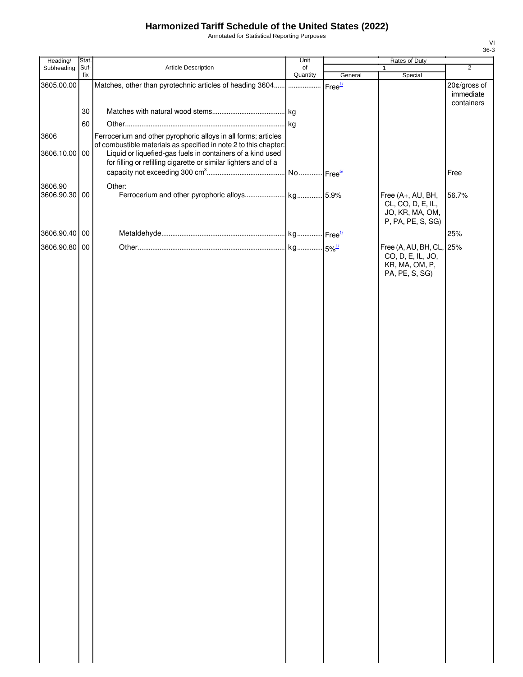Annotated for Statistical Reporting Purposes

| Suf-<br>Article Description<br>Subheading<br>of<br>1<br>Quantity<br>fix<br>General<br>Special<br>Matches, other than pyrotechnic articles of heading 3604<br>Free <sup>1/</sup><br>3605.00.00<br>.<br>30<br>60<br>Ferrocerium and other pyrophoric alloys in all forms; articles<br>3606<br>of combustible materials as specified in note 2 to this chapter:<br>3606.10.00 00<br>Liquid or liquefied-gas fuels in containers of a kind used<br>for filling or refilling cigarette or similar lighters and of a<br>3606.90<br>Other: | $\overline{2}$<br>20¢/gross of<br>immediate<br>containers<br>Free |
|-------------------------------------------------------------------------------------------------------------------------------------------------------------------------------------------------------------------------------------------------------------------------------------------------------------------------------------------------------------------------------------------------------------------------------------------------------------------------------------------------------------------------------------|-------------------------------------------------------------------|
|                                                                                                                                                                                                                                                                                                                                                                                                                                                                                                                                     |                                                                   |
|                                                                                                                                                                                                                                                                                                                                                                                                                                                                                                                                     |                                                                   |
|                                                                                                                                                                                                                                                                                                                                                                                                                                                                                                                                     |                                                                   |
|                                                                                                                                                                                                                                                                                                                                                                                                                                                                                                                                     |                                                                   |
|                                                                                                                                                                                                                                                                                                                                                                                                                                                                                                                                     |                                                                   |
|                                                                                                                                                                                                                                                                                                                                                                                                                                                                                                                                     |                                                                   |
|                                                                                                                                                                                                                                                                                                                                                                                                                                                                                                                                     |                                                                   |
|                                                                                                                                                                                                                                                                                                                                                                                                                                                                                                                                     |                                                                   |
|                                                                                                                                                                                                                                                                                                                                                                                                                                                                                                                                     |                                                                   |
|                                                                                                                                                                                                                                                                                                                                                                                                                                                                                                                                     |                                                                   |
|                                                                                                                                                                                                                                                                                                                                                                                                                                                                                                                                     |                                                                   |
| 3606.90.30 00<br>Free (A+, AU, BH,                                                                                                                                                                                                                                                                                                                                                                                                                                                                                                  | 56.7%                                                             |
| CL, CO, D, E, IL,                                                                                                                                                                                                                                                                                                                                                                                                                                                                                                                   |                                                                   |
| JO, KR, MA, OM,<br>P, PA, PE, S, SG)                                                                                                                                                                                                                                                                                                                                                                                                                                                                                                |                                                                   |
| 3606.90.40 00                                                                                                                                                                                                                                                                                                                                                                                                                                                                                                                       | 25%                                                               |
|                                                                                                                                                                                                                                                                                                                                                                                                                                                                                                                                     |                                                                   |
| 3606.90.80 00<br>Free (A, AU, BH, CL, 25%<br>CO, D, E, IL, JO,                                                                                                                                                                                                                                                                                                                                                                                                                                                                      |                                                                   |
| KR, MA, OM, P,                                                                                                                                                                                                                                                                                                                                                                                                                                                                                                                      |                                                                   |
| PA, PE, S, SG)                                                                                                                                                                                                                                                                                                                                                                                                                                                                                                                      |                                                                   |
|                                                                                                                                                                                                                                                                                                                                                                                                                                                                                                                                     |                                                                   |
|                                                                                                                                                                                                                                                                                                                                                                                                                                                                                                                                     |                                                                   |
|                                                                                                                                                                                                                                                                                                                                                                                                                                                                                                                                     |                                                                   |
|                                                                                                                                                                                                                                                                                                                                                                                                                                                                                                                                     |                                                                   |
|                                                                                                                                                                                                                                                                                                                                                                                                                                                                                                                                     |                                                                   |
|                                                                                                                                                                                                                                                                                                                                                                                                                                                                                                                                     |                                                                   |
|                                                                                                                                                                                                                                                                                                                                                                                                                                                                                                                                     |                                                                   |
|                                                                                                                                                                                                                                                                                                                                                                                                                                                                                                                                     |                                                                   |
|                                                                                                                                                                                                                                                                                                                                                                                                                                                                                                                                     |                                                                   |
|                                                                                                                                                                                                                                                                                                                                                                                                                                                                                                                                     |                                                                   |
|                                                                                                                                                                                                                                                                                                                                                                                                                                                                                                                                     |                                                                   |
|                                                                                                                                                                                                                                                                                                                                                                                                                                                                                                                                     |                                                                   |
|                                                                                                                                                                                                                                                                                                                                                                                                                                                                                                                                     |                                                                   |
|                                                                                                                                                                                                                                                                                                                                                                                                                                                                                                                                     |                                                                   |
|                                                                                                                                                                                                                                                                                                                                                                                                                                                                                                                                     |                                                                   |
|                                                                                                                                                                                                                                                                                                                                                                                                                                                                                                                                     |                                                                   |
|                                                                                                                                                                                                                                                                                                                                                                                                                                                                                                                                     |                                                                   |
|                                                                                                                                                                                                                                                                                                                                                                                                                                                                                                                                     |                                                                   |
|                                                                                                                                                                                                                                                                                                                                                                                                                                                                                                                                     |                                                                   |
|                                                                                                                                                                                                                                                                                                                                                                                                                                                                                                                                     |                                                                   |
|                                                                                                                                                                                                                                                                                                                                                                                                                                                                                                                                     |                                                                   |
|                                                                                                                                                                                                                                                                                                                                                                                                                                                                                                                                     |                                                                   |
|                                                                                                                                                                                                                                                                                                                                                                                                                                                                                                                                     |                                                                   |
|                                                                                                                                                                                                                                                                                                                                                                                                                                                                                                                                     |                                                                   |
|                                                                                                                                                                                                                                                                                                                                                                                                                                                                                                                                     |                                                                   |
|                                                                                                                                                                                                                                                                                                                                                                                                                                                                                                                                     |                                                                   |
|                                                                                                                                                                                                                                                                                                                                                                                                                                                                                                                                     |                                                                   |
|                                                                                                                                                                                                                                                                                                                                                                                                                                                                                                                                     |                                                                   |
|                                                                                                                                                                                                                                                                                                                                                                                                                                                                                                                                     |                                                                   |
|                                                                                                                                                                                                                                                                                                                                                                                                                                                                                                                                     |                                                                   |
|                                                                                                                                                                                                                                                                                                                                                                                                                                                                                                                                     |                                                                   |
|                                                                                                                                                                                                                                                                                                                                                                                                                                                                                                                                     |                                                                   |
|                                                                                                                                                                                                                                                                                                                                                                                                                                                                                                                                     |                                                                   |

VI 36-3